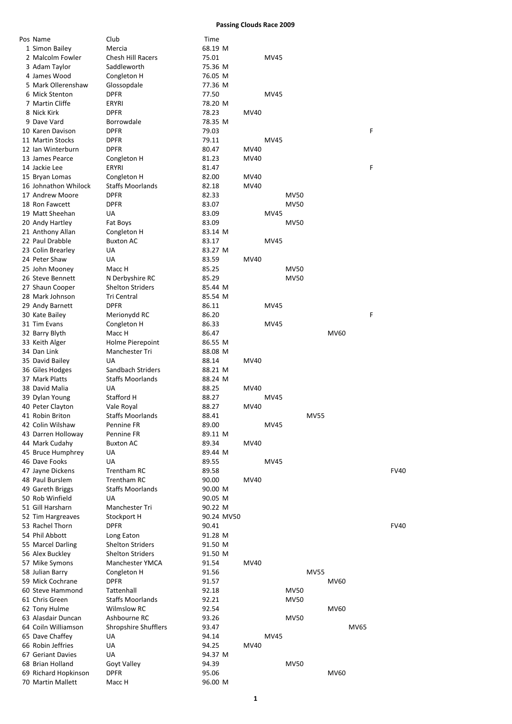## **Passing Clouds Race 2009**

| Pos Name             | Club                        | Time       |             |             |             |             |             |             |   |      |
|----------------------|-----------------------------|------------|-------------|-------------|-------------|-------------|-------------|-------------|---|------|
| 1 Simon Bailey       | Mercia                      | 68.19 M    |             |             |             |             |             |             |   |      |
| 2 Malcolm Fowler     | <b>Chesh Hill Racers</b>    | 75.01      |             | MV45        |             |             |             |             |   |      |
|                      |                             |            |             |             |             |             |             |             |   |      |
| 3 Adam Taylor        | Saddleworth                 | 75.36 M    |             |             |             |             |             |             |   |      |
| 4 James Wood         | Congleton H                 | 76.05 M    |             |             |             |             |             |             |   |      |
| 5 Mark Ollerenshaw   | Glossopdale                 | 77.36 M    |             |             |             |             |             |             |   |      |
| 6 Mick Stenton       | DPFR                        | 77.50      |             | MV45        |             |             |             |             |   |      |
| 7 Martin Cliffe      | ERYRI                       | 78.20 M    |             |             |             |             |             |             |   |      |
| 8 Nick Kirk          | <b>DPFR</b>                 | 78.23      | MV40        |             |             |             |             |             |   |      |
| 9 Dave Vard          | Borrowdale                  | 78.35 M    |             |             |             |             |             |             |   |      |
| 10 Karen Davison     | <b>DPFR</b>                 | 79.03      |             |             |             |             |             |             | F |      |
| 11 Martin Stocks     | <b>DPFR</b>                 |            |             |             |             |             |             |             |   |      |
|                      |                             | 79.11      |             | <b>MV45</b> |             |             |             |             |   |      |
| 12 Ian Winterburn    | DPFR                        | 80.47      | MV40        |             |             |             |             |             |   |      |
| 13 James Pearce      | Congleton H                 | 81.23      | MV40        |             |             |             |             |             |   |      |
| 14 Jackie Lee        | ERYRI                       | 81.47      |             |             |             |             |             |             | F |      |
| 15 Bryan Lomas       | Congleton H                 | 82.00      | MV40        |             |             |             |             |             |   |      |
| 16 Johnathon Whilock | <b>Staffs Moorlands</b>     | 82.18      | MV40        |             |             |             |             |             |   |      |
| 17 Andrew Moore      | <b>DPFR</b>                 | 82.33      |             |             | <b>MV50</b> |             |             |             |   |      |
| 18 Ron Fawcett       | <b>DPFR</b>                 | 83.07      |             |             | <b>MV50</b> |             |             |             |   |      |
| 19 Matt Sheehan      | UA                          | 83.09      |             | <b>MV45</b> |             |             |             |             |   |      |
|                      |                             |            |             |             |             |             |             |             |   |      |
| 20 Andy Hartley      | Fat Boys                    | 83.09      |             |             | <b>MV50</b> |             |             |             |   |      |
| 21 Anthony Allan     | Congleton H                 | 83.14 M    |             |             |             |             |             |             |   |      |
| 22 Paul Drabble      | <b>Buxton AC</b>            | 83.17      |             | MV45        |             |             |             |             |   |      |
| 23 Colin Brearley    | UA                          | 83.27 M    |             |             |             |             |             |             |   |      |
| 24 Peter Shaw        | <b>UA</b>                   | 83.59      | MV40        |             |             |             |             |             |   |      |
| 25 John Mooney       | Macc H                      | 85.25      |             |             | <b>MV50</b> |             |             |             |   |      |
| 26 Steve Bennett     | N Derbyshire RC             | 85.29      |             |             | <b>MV50</b> |             |             |             |   |      |
| 27 Shaun Cooper      | Shelton Striders            | 85.44 M    |             |             |             |             |             |             |   |      |
| 28 Mark Johnson      | Tri Central                 | 85.54 M    |             |             |             |             |             |             |   |      |
| 29 Andy Barnett      | <b>DPFR</b>                 | 86.11      |             | MV45        |             |             |             |             |   |      |
|                      |                             |            |             |             |             |             |             |             | F |      |
| 30 Kate Bailey       | Merionydd RC                | 86.20      |             |             |             |             |             |             |   |      |
| 31 Tim Evans         | Congleton H                 | 86.33      |             | MV45        |             |             |             |             |   |      |
| 32 Barry Blyth       | Macc H                      | 86.47      |             |             |             |             | MV60        |             |   |      |
| 33 Keith Alger       | Holme Pierepoint            | 86.55 M    |             |             |             |             |             |             |   |      |
| 34 Dan Link          | Manchester Tri              | 88.08 M    |             |             |             |             |             |             |   |      |
| 35 David Bailey      | UA                          | 88.14      | MV40        |             |             |             |             |             |   |      |
| 36 Giles Hodges      | Sandbach Striders           | 88.21 M    |             |             |             |             |             |             |   |      |
| 37 Mark Platts       | <b>Staffs Moorlands</b>     | 88.24 M    |             |             |             |             |             |             |   |      |
| 38 David Malia       | UA                          | 88.25      | MV40        |             |             |             |             |             |   |      |
| 39 Dylan Young       | Stafford H                  | 88.27      |             | MV45        |             |             |             |             |   |      |
| 40 Peter Clayton     | Vale Royal                  | 88.27      | MV40        |             |             |             |             |             |   |      |
| 41 Robin Briton      | <b>Staffs Moorlands</b>     | 88.41      |             |             |             | <b>MV55</b> |             |             |   |      |
| 42 Colin Wilshaw     |                             | 89.00      |             |             |             |             |             |             |   |      |
|                      | Pennine FR                  |            |             | MV45        |             |             |             |             |   |      |
| 43 Darren Holloway   | Pennine FR                  | 89.11 M    |             |             |             |             |             |             |   |      |
| 44 Mark Cudahy       | <b>Buxton AC</b>            | 89.34      | MV40        |             |             |             |             |             |   |      |
| 45 Bruce Humphrey    | UA                          | 89.44 M    |             |             |             |             |             |             |   |      |
| 46 Dave Fooks        | UA                          | 89.55      |             | <b>MV45</b> |             |             |             |             |   |      |
| 47 Jayne Dickens     | <b>Trentham RC</b>          | 89.58      |             |             |             |             |             |             |   | FV40 |
| 48 Paul Burslem      | <b>Trentham RC</b>          | 90.00      | <b>MV40</b> |             |             |             |             |             |   |      |
| 49 Gareth Briggs     | <b>Staffs Moorlands</b>     | 90.00 M    |             |             |             |             |             |             |   |      |
| 50 Rob Winfield      | <b>UA</b>                   | 90.05 M    |             |             |             |             |             |             |   |      |
| 51 Gill Harsharn     | Manchester Tri              | 90.22 M    |             |             |             |             |             |             |   |      |
|                      |                             |            |             |             |             |             |             |             |   |      |
| 52 Tim Hargreaves    | Stockport H                 | 90.24 MV50 |             |             |             |             |             |             |   |      |
| 53 Rachel Thorn      | <b>DPFR</b>                 | 90.41      |             |             |             |             |             |             |   | FV40 |
| 54 Phil Abbott       | Long Eaton                  | 91.28 M    |             |             |             |             |             |             |   |      |
| 55 Marcel Darling    | <b>Shelton Striders</b>     | 91.50 M    |             |             |             |             |             |             |   |      |
| 56 Alex Buckley      | <b>Shelton Striders</b>     | 91.50 M    |             |             |             |             |             |             |   |      |
| 57 Mike Symons       | Manchester YMCA             | 91.54      | MV40        |             |             |             |             |             |   |      |
| 58 Julian Barry      | Congleton H                 | 91.56      |             |             |             | <b>MV55</b> |             |             |   |      |
| 59 Mick Cochrane     | <b>DPFR</b>                 | 91.57      |             |             |             |             | MV60        |             |   |      |
| 60 Steve Hammond     | Tattenhall                  | 92.18      |             |             | <b>MV50</b> |             |             |             |   |      |
| 61 Chris Green       | <b>Staffs Moorlands</b>     | 92.21      |             |             | <b>MV50</b> |             |             |             |   |      |
|                      |                             |            |             |             |             |             |             |             |   |      |
| 62 Tony Hulme        | <b>Wilmslow RC</b>          | 92.54      |             |             |             |             | <b>MV60</b> |             |   |      |
| 63 Alasdair Duncan   | Ashbourne RC                | 93.26      |             |             | <b>MV50</b> |             |             |             |   |      |
| 64 Coiln Williamson  | <b>Shropshire Shufflers</b> | 93.47      |             |             |             |             |             | <b>MV65</b> |   |      |
| 65 Dave Chaffey      | UA                          | 94.14      |             | MV45        |             |             |             |             |   |      |
| 66 Robin Jeffries    | UA                          | 94.25      | <b>MV40</b> |             |             |             |             |             |   |      |
| 67 Geriant Davies    | UA                          | 94.37 M    |             |             |             |             |             |             |   |      |
| 68 Brian Holland     | Goyt Valley                 | 94.39      |             |             | <b>MV50</b> |             |             |             |   |      |
| 69 Richard Hopkinson | <b>DPFR</b>                 | 95.06      |             |             |             |             | <b>MV60</b> |             |   |      |
| 70 Martin Mallett    | Macc H                      | 96.00 M    |             |             |             |             |             |             |   |      |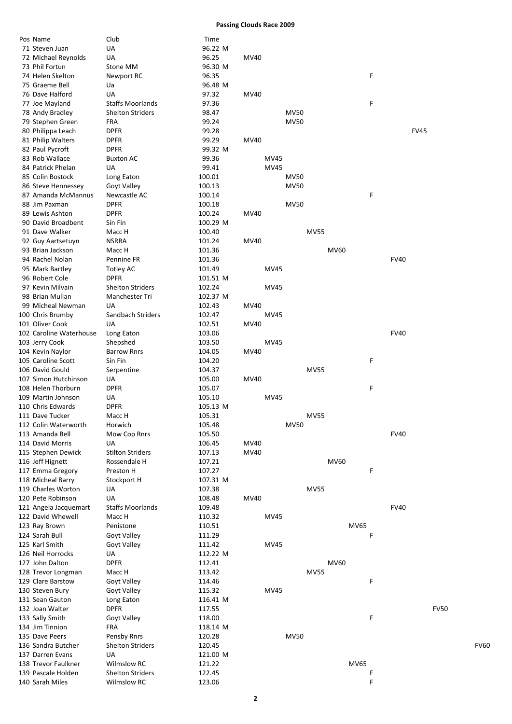**Passing Clouds Race 2009**

| Pos Name                | Club                    | Time     |      |      |             |             |      |             |             |      |
|-------------------------|-------------------------|----------|------|------|-------------|-------------|------|-------------|-------------|------|
| 71 Steven Juan          | UA                      | 96.22 M  |      |      |             |             |      |             |             |      |
| 72 Michael Reynolds     | UA                      | 96.25    | MV40 |      |             |             |      |             |             |      |
| 73 Phil Fortun          | Stone MM                | 96.30 M  |      |      |             |             |      |             |             |      |
| 74 Helen Skelton        | Newport RC              | 96.35    |      |      |             |             | F    |             |             |      |
| 75 Graeme Bell          | Ua                      | 96.48 M  |      |      |             |             |      |             |             |      |
| 76 Dave Halford         | UA                      | 97.32    | MV40 |      |             |             |      |             |             |      |
|                         |                         |          |      |      |             |             |      |             |             |      |
| 77 Joe Mayland          | <b>Staffs Moorlands</b> | 97.36    |      |      |             |             | F    |             |             |      |
| 78 Andy Bradley         | <b>Shelton Striders</b> | 98.47    |      |      | <b>MV50</b> |             |      |             |             |      |
| 79 Stephen Green        | <b>FRA</b>              | 99.24    |      |      | <b>MV50</b> |             |      |             |             |      |
| 80 Philippa Leach       | <b>DPFR</b>             | 99.28    |      |      |             |             |      |             | <b>FV45</b> |      |
| 81 Philip Walters       | <b>DPFR</b>             | 99.29    | MV40 |      |             |             |      |             |             |      |
| 82 Paul Pycroft         | <b>DPFR</b>             | 99.32 M  |      |      |             |             |      |             |             |      |
| 83 Rob Wallace          | <b>Buxton AC</b>        | 99.36    |      | MV45 |             |             |      |             |             |      |
| 84 Patrick Phelan       | UA                      | 99.41    |      | MV45 |             |             |      |             |             |      |
| 85 Colin Bostock        | Long Eaton              | 100.01   |      |      | <b>MV50</b> |             |      |             |             |      |
| 86 Steve Hennessey      | Goyt Valley             | 100.13   |      |      | <b>MV50</b> |             |      |             |             |      |
|                         |                         |          |      |      |             |             |      |             |             |      |
| 87 Amanda McMannus      | Newcastle AC            | 100.14   |      |      |             |             | F    |             |             |      |
| 88 Jim Paxman           | <b>DPFR</b>             | 100.18   |      |      | <b>MV50</b> |             |      |             |             |      |
| 89 Lewis Ashton         | <b>DPFR</b>             | 100.24   | MV40 |      |             |             |      |             |             |      |
| 90 David Broadbent      | Sin Fin                 | 100.29 M |      |      |             |             |      |             |             |      |
| 91 Dave Walker          | Macc H                  | 100.40   |      |      |             | <b>MV55</b> |      |             |             |      |
| 92 Guy Aartsetuyn       | <b>NSRRA</b>            | 101.24   | MV40 |      |             |             |      |             |             |      |
| 93 Brian Jackson        | Macc H                  | 101.36   |      |      |             |             | MV60 |             |             |      |
| 94 Rachel Nolan         | Pennine FR              | 101.36   |      |      |             |             |      | <b>FV40</b> |             |      |
| 95 Mark Bartley         | Totley AC               | 101.49   |      | MV45 |             |             |      |             |             |      |
| 96 Robert Cole          | <b>DPFR</b>             | 101.51 M |      |      |             |             |      |             |             |      |
|                         |                         |          |      |      |             |             |      |             |             |      |
| 97 Kevin Milvain        | <b>Shelton Striders</b> | 102.24   |      | MV45 |             |             |      |             |             |      |
| 98 Brian Mullan         | Manchester Tri          | 102.37 M |      |      |             |             |      |             |             |      |
| 99 Micheal Newman       | UA                      | 102.43   | MV40 |      |             |             |      |             |             |      |
| 100 Chris Brumby        | Sandbach Striders       | 102.47   |      | MV45 |             |             |      |             |             |      |
| 101 Oliver Cook         | UA                      | 102.51   | MV40 |      |             |             |      |             |             |      |
| 102 Caroline Waterhouse | Long Eaton              | 103.06   |      |      |             |             |      | <b>FV40</b> |             |      |
| 103 Jerry Cook          | Shepshed                | 103.50   |      | MV45 |             |             |      |             |             |      |
| 104 Kevin Naylor        | <b>Barrow Rnrs</b>      | 104.05   | MV40 |      |             |             |      |             |             |      |
| 105 Caroline Scott      | Sin Fin                 | 104.20   |      |      |             |             | F    |             |             |      |
|                         |                         |          |      |      |             |             |      |             |             |      |
| 106 David Gould         | Serpentine              | 104.37   |      |      |             | <b>MV55</b> |      |             |             |      |
| 107 Simon Hutchinson    | UA                      | 105.00   | MV40 |      |             |             |      |             |             |      |
| 108 Helen Thorburn      | <b>DPFR</b>             | 105.07   |      |      |             |             | F    |             |             |      |
| 109 Martin Johnson      | UA                      | 105.10   |      | MV45 |             |             |      |             |             |      |
| 110 Chris Edwards       | <b>DPFR</b>             | 105.13 M |      |      |             |             |      |             |             |      |
| 111 Dave Tucker         | Macc H                  | 105.31   |      |      |             | <b>MV55</b> |      |             |             |      |
| 112 Colin Waterworth    | Horwich                 | 105.48   |      |      | MV50        |             |      |             |             |      |
| 113 Amanda Bell         | Mow Cop Rnrs            | 105.50   |      |      |             |             |      | <b>FV40</b> |             |      |
| 114 David Morris        | UA                      | 106.45   | MV40 |      |             |             |      |             |             |      |
|                         | <b>Stilton Striders</b> |          | MV40 |      |             |             |      |             |             |      |
| 115 Stephen Dewick      |                         | 107.13   |      |      |             |             |      |             |             |      |
| 116 Jeff Hignett        | Rossendale H            | 107.21   |      |      |             |             | MV60 |             |             |      |
| 117 Emma Gregory        | Preston H               | 107.27   |      |      |             |             | F    |             |             |      |
| 118 Micheal Barry       | Stockport H             | 107.31 M |      |      |             |             |      |             |             |      |
| 119 Charles Worton      | UA                      | 107.38   |      |      |             | <b>MV55</b> |      |             |             |      |
| 120 Pete Robinson       | UA                      | 108.48   | MV40 |      |             |             |      |             |             |      |
| 121 Angela Jacquemart   | <b>Staffs Moorlands</b> | 109.48   |      |      |             |             |      | <b>FV40</b> |             |      |
| 122 David Whewell       | Macc H                  | 110.32   |      | MV45 |             |             |      |             |             |      |
| 123 Ray Brown           | Penistone               | 110.51   |      |      |             |             | MV65 |             |             |      |
| 124 Sarah Bull          | Goyt Valley             | 111.29   |      |      |             |             | F    |             |             |      |
|                         |                         |          |      |      |             |             |      |             |             |      |
| 125 Karl Smith          | Goyt Valley             | 111.42   |      | MV45 |             |             |      |             |             |      |
| 126 Neil Horrocks       | UA                      | 112.22 M |      |      |             |             |      |             |             |      |
| 127 John Dalton         | <b>DPFR</b>             | 112.41   |      |      |             |             | MV60 |             |             |      |
| 128 Trevor Longman      | Macc H                  | 113.42   |      |      |             | <b>MV55</b> |      |             |             |      |
| 129 Clare Barstow       | Goyt Valley             | 114.46   |      |      |             |             | F    |             |             |      |
| 130 Steven Bury         | Goyt Valley             | 115.32   |      | MV45 |             |             |      |             |             |      |
| 131 Sean Gauton         | Long Eaton              | 116.41 M |      |      |             |             |      |             |             |      |
| 132 Joan Walter         | <b>DPFR</b>             | 117.55   |      |      |             |             |      |             | <b>FV50</b> |      |
| 133 Sally Smith         | Goyt Valley             | 118.00   |      |      |             |             | F    |             |             |      |
|                         |                         |          |      |      |             |             |      |             |             |      |
| 134 Jim Tinnion         | <b>FRA</b>              | 118.14 M |      |      |             |             |      |             |             |      |
| 135 Dave Peers          | Pensby Rnrs             | 120.28   |      |      | <b>MV50</b> |             |      |             |             |      |
| 136 Sandra Butcher      | <b>Shelton Striders</b> | 120.45   |      |      |             |             |      |             |             | FV60 |
| 137 Darren Evans        | <b>UA</b>               | 121.00 M |      |      |             |             |      |             |             |      |
| 138 Trevor Faulkner     | <b>Wilmslow RC</b>      | 121.22   |      |      |             |             | MV65 |             |             |      |
| 139 Pascale Holden      | <b>Shelton Striders</b> | 122.45   |      |      |             |             | F    |             |             |      |
| 140 Sarah Miles         | Wilmslow RC             | 123.06   |      |      |             |             | F    |             |             |      |
|                         |                         |          |      |      |             |             |      |             |             |      |

| V40 |             |             |             |             |             |   |             |             |
|-----|-------------|-------------|-------------|-------------|-------------|---|-------------|-------------|
|     |             |             |             |             |             |   |             |             |
|     |             |             |             |             |             | F |             |             |
| V40 |             |             |             |             |             |   |             |             |
|     |             | <b>MV50</b> |             |             |             | F |             |             |
|     |             | <b>MV50</b> |             |             |             |   |             |             |
|     |             |             |             |             |             |   |             | <b>FV45</b> |
| V40 |             |             |             |             |             |   |             |             |
|     | <b>MV45</b> |             |             |             |             |   |             |             |
|     | <b>MV45</b> | <b>MV50</b> |             |             |             |   |             |             |
|     |             | <b>MV50</b> |             |             |             |   |             |             |
|     |             |             |             |             |             | F |             |             |
| V40 |             | <b>MV50</b> |             |             |             |   |             |             |
|     |             |             |             |             |             |   |             |             |
| V40 |             |             | <b>MV55</b> |             |             |   |             |             |
|     |             |             |             | <b>MV60</b> |             |   |             |             |
|     | <b>MV45</b> |             |             |             |             |   | <b>FV40</b> |             |
|     |             |             |             |             |             |   |             |             |
|     | <b>MV45</b> |             |             |             |             |   |             |             |
| V40 |             |             |             |             |             |   |             |             |
|     | <b>MV45</b> |             |             |             |             |   |             |             |
| V40 |             |             |             |             |             |   | <b>FV40</b> |             |
|     | <b>MV45</b> |             |             |             |             |   |             |             |
| V40 |             |             |             |             |             | F |             |             |
|     |             |             | <b>MV55</b> |             |             |   |             |             |
| V40 |             |             |             |             |             |   |             |             |
|     | <b>MV45</b> |             |             |             |             | F |             |             |
|     |             |             |             |             |             |   |             |             |
|     |             | <b>MV50</b> | <b>MV55</b> |             |             |   |             |             |
|     |             |             |             |             |             |   | <b>FV40</b> |             |
| V40 |             |             |             |             |             |   |             |             |
| V40 |             |             |             | <b>MV60</b> |             |   |             |             |
|     |             |             |             |             |             | F |             |             |
|     |             |             | <b>MV55</b> |             |             |   |             |             |
| V40 |             |             |             |             |             |   |             |             |
|     | <b>MV45</b> |             |             |             |             |   | <b>FV40</b> |             |
|     |             |             |             |             | MV65        |   |             |             |
|     |             |             |             |             |             | F |             |             |
|     | <b>MV45</b> |             |             |             |             |   |             |             |
|     |             |             |             | <b>MV60</b> |             |   |             |             |
|     |             |             | <b>MV55</b> |             |             | F |             |             |
|     | <b>MV45</b> |             |             |             |             |   |             |             |
|     |             |             |             |             |             |   |             | ŀ           |
|     |             |             |             |             |             | F |             |             |
|     |             |             |             |             |             |   |             |             |
|     |             | <b>MV50</b> |             |             |             |   |             |             |
|     |             |             |             |             |             |   |             |             |
|     |             |             |             |             | <b>MV65</b> | F |             |             |
|     |             |             |             |             |             | F |             |             |